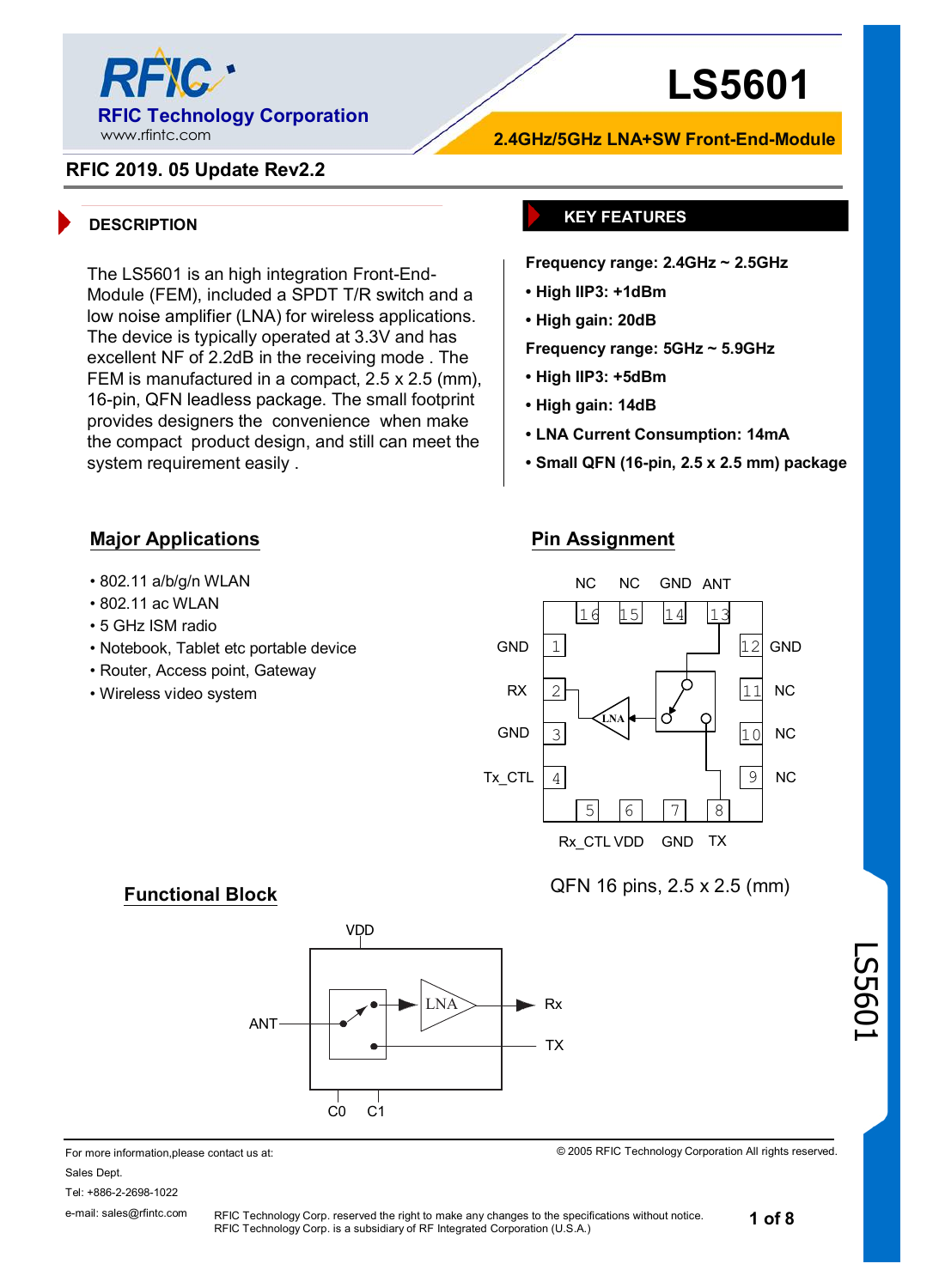

The LS5601 is an high integration Front-End-Module (FEM), included a SPDT T/R switch and a low noise amplifier (LNA) for wireless applications. The device is typically operated at 3.3V and has excellent NF of 2.2dB in the receiving mode . The FEM is manufactured in a compact, 2.5 x 2.5 (mm), 16-pin, QFN leadless package. The small footprint provides designers the convenience when make the compact product design, and still can meet the

# **LS5601**

### **RFIC 2019. 05 Update Rev2.2**

#### **DESCRIPTION KEY FEATURES**

**Frequency range: 2.4GHz ~ 2.5GHz**

**2.4GHz/5GHz LNA+SW Front-End-Module**

- **• High IIP3: +1dBm**
- **• High gain: 20dB**
- **Frequency range: 5GHz ~ 5.9GHz**
- **• High IIP3: +5dBm**
- **• High gain: 14dB**
- **• LNA Current Consumption: 14mA**
- **• Small QFN (16-pin, 2.5 x 2.5 mm) package**

#### **Major Applications**

system requirement easily .

- 802.11 a/b/g/n WLAN
- 802.11 ac WLAN
- 5 GHz ISM radio
- Notebook, Tablet etc portable device
- Router, Access point, Gateway

**Functional Block**

• Wireless video system

#### **Pin Assignment**



QFN 16 pins, 2.5 x 2.5 (mm)

© 2005 RFIC Technology Corporation All rights reserved.



#### For more information,please contact us at: Sales Dept. Tel: +886-2-2698-1022

e-mail: sales@rfintc.com

RFIC Technology Corp. reserved the right to make any changes to the specifications without notice. RFIC Technology Corp. is a subsidiary of RF Integrated Corporation (U.S.A.)

LS5601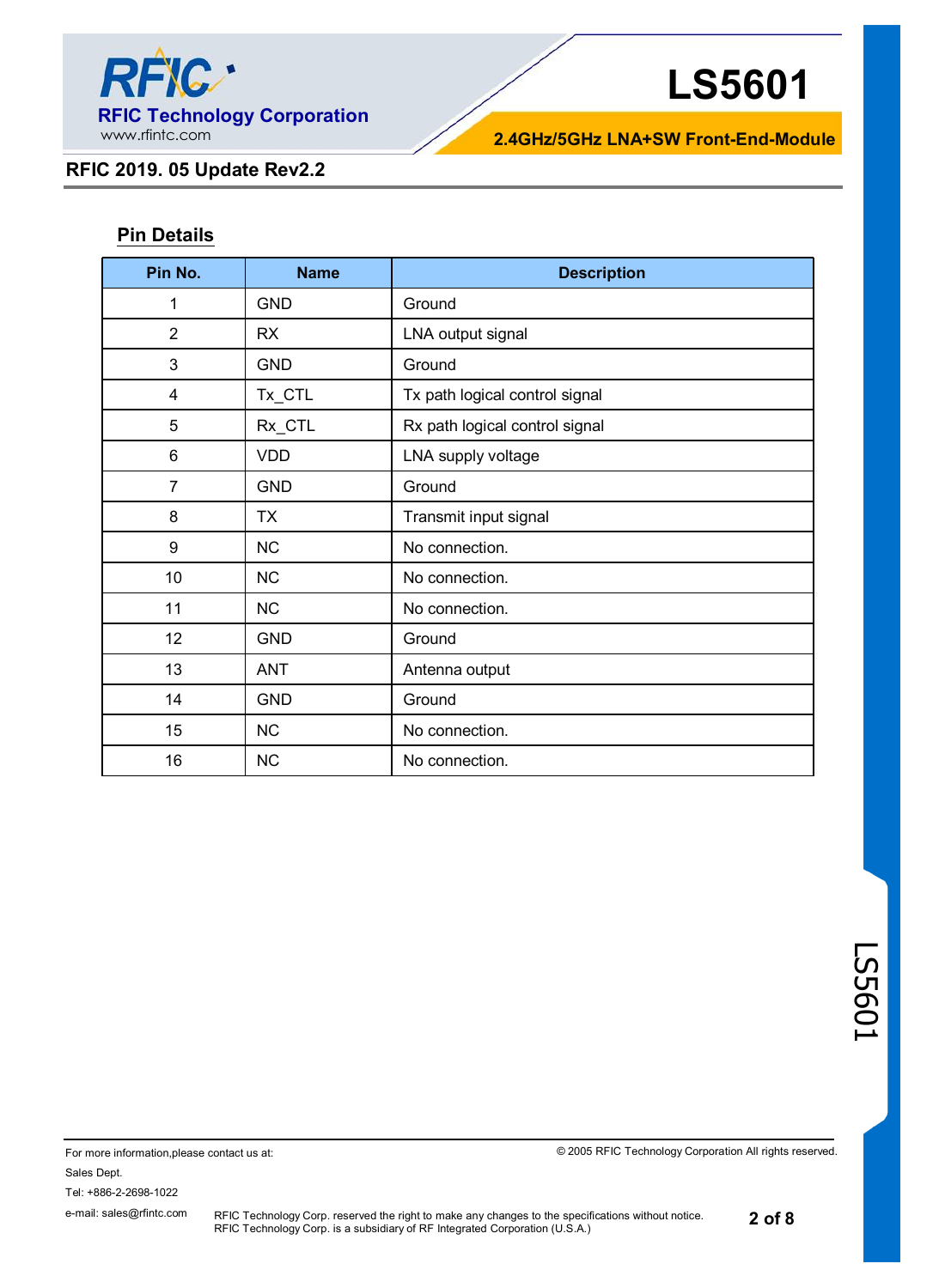

**2.4GHz/5GHz LNA+SW Front-End-Module**

### **RFIC 2019. 05 Update Rev2.2**

## **Pin Details**

| Pin No.        | <b>Name</b> | <b>Description</b>             |  |  |
|----------------|-------------|--------------------------------|--|--|
| 1              | <b>GND</b>  | Ground                         |  |  |
| $\overline{2}$ | <b>RX</b>   | LNA output signal              |  |  |
| 3              | <b>GND</b>  | Ground                         |  |  |
| 4              | Tx_CTL      | Tx path logical control signal |  |  |
| 5              | Rx_CTL      | Rx path logical control signal |  |  |
| 6              | <b>VDD</b>  | LNA supply voltage             |  |  |
| $\overline{7}$ | <b>GND</b>  | Ground                         |  |  |
| 8              | ТX          | Transmit input signal          |  |  |
| 9              | <b>NC</b>   | No connection.                 |  |  |
| 10             | <b>NC</b>   | No connection.                 |  |  |
| 11             | <b>NC</b>   | No connection.                 |  |  |
| 12             | <b>GND</b>  | Ground                         |  |  |
| 13             | <b>ANT</b>  | Antenna output                 |  |  |
| 14             | <b>GND</b>  | Ground                         |  |  |
| 15             | <b>NC</b>   | No connection.                 |  |  |
| 16             | <b>NC</b>   | No connection.                 |  |  |

LS5601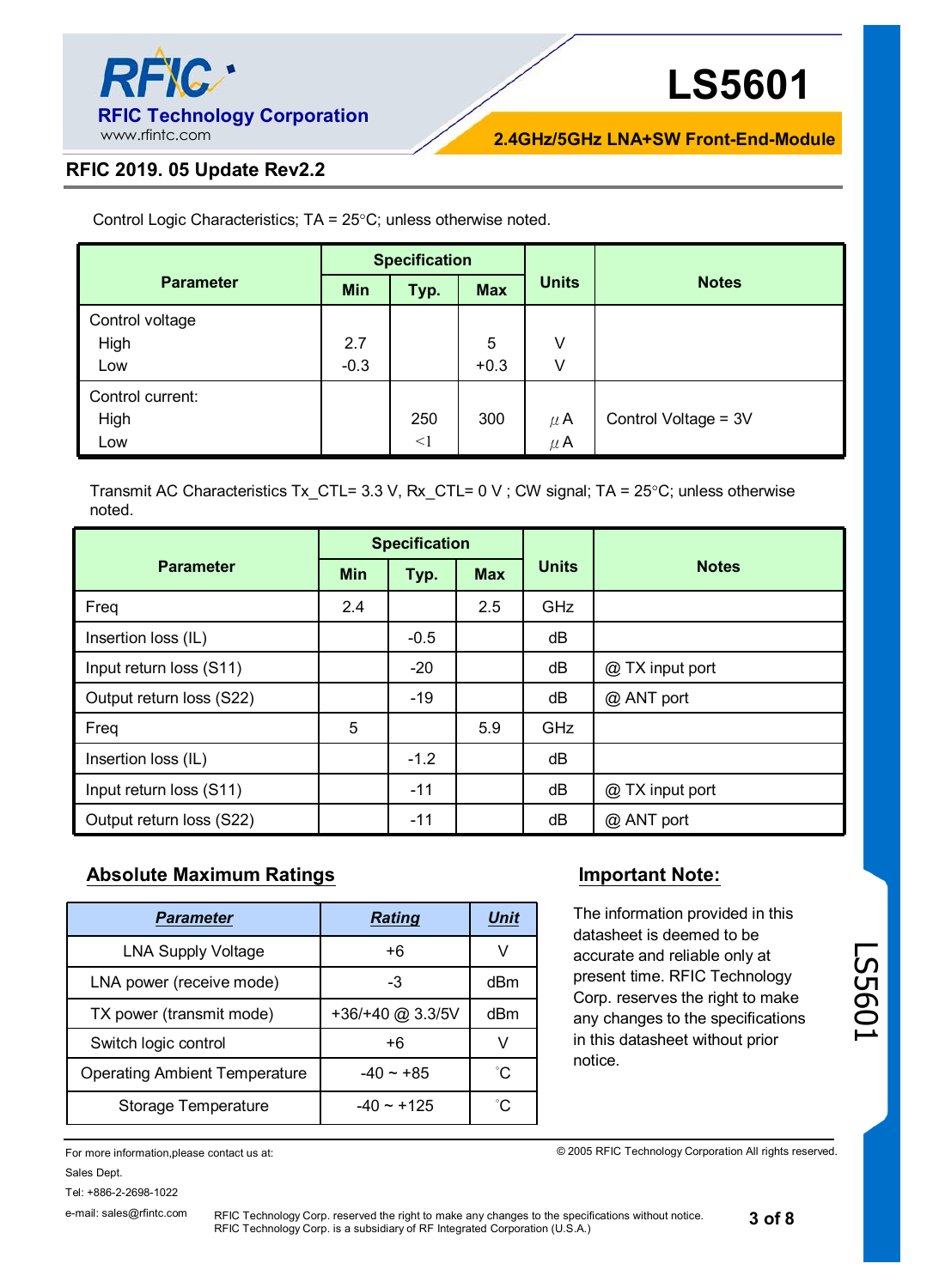

**2.4GHz/5GHz LNA+SW Front-End-Module**

#### **RFIC 2019. 05 Update Rev2.2**

Control Logic Characteristics;  $TA = 25^{\circ}C$ ; unless otherwise noted.

|                  | <b>Specification</b> |          |            |              |                      |
|------------------|----------------------|----------|------------|--------------|----------------------|
| <b>Parameter</b> | <b>Min</b>           | Typ.     | <b>Max</b> | <b>Units</b> | <b>Notes</b>         |
| Control voltage  |                      |          |            |              |                      |
| High             | 2.7                  |          | 5          | V            |                      |
| Low              | $-0.3$               |          | $+0.3$     | V            |                      |
| Control current: |                      |          |            |              |                      |
| High             |                      | 250      | 300        | $\mu$ A      | Control Voltage = 3V |
| Low              |                      | $\leq$ 1 |            | $\mu$ A      |                      |

Transmit AC Characteristics Tx\_CTL= 3.3 V, Rx\_CTL= 0 V ; CW signal; TA =  $25^{\circ}$ C; unless otherwise noted.

|                          | <b>Specification</b> |        |            |              |                 |
|--------------------------|----------------------|--------|------------|--------------|-----------------|
| <b>Parameter</b>         | <b>Min</b>           | Typ.   | <b>Max</b> | <b>Units</b> | <b>Notes</b>    |
| Freq                     | 2.4                  |        | 2.5        | <b>GHz</b>   |                 |
| Insertion loss (IL)      |                      | $-0.5$ |            | dB           |                 |
| Input return loss (S11)  |                      | $-20$  |            | dB           | @ TX input port |
| Output return loss (S22) |                      | $-19$  |            | dB           | @ ANT port      |
| Freq                     | 5                    |        | 5.9        | GHz          |                 |
| Insertion loss (IL)      |                      | $-1.2$ |            | dB           |                 |
| Input return loss (S11)  |                      | $-11$  |            | dB           | @ TX input port |
| Output return loss (S22) |                      | $-11$  |            | dB           | @ ANT port      |

### **Absolute Maximum Ratings Important Note:**

| <b>Parameter</b>                     | <b>Rating</b>    | Unit |
|--------------------------------------|------------------|------|
| <b>LNA Supply Voltage</b>            | +6               |      |
| LNA power (receive mode)             | -3               | dBm  |
| TX power (transmit mode)             | +36/+40 @ 3.3/5V | dBm  |
| Switch logic control                 | +6               | V    |
| <b>Operating Ambient Temperature</b> | $-40 \sim +85$   | °C   |
| Storage Temperature                  | $-40 \sim +125$  | ഀ౧   |

#### For more information,please contact us at: Sales Dept.

Tel: +886-2-2698-1022

e-mail: sales@rfintc.com

RFIC Technology Corp. reserved the right to make any changes to the specifications without notice. RFIC Technology Corp. is a subsidiary of RF Integrated Corporation (U.S.A.)

The information provided in this datasheet is deemed to be accurate and reliable only at present time. RFIC Technology Corp. reserves the right to make any changes to the specifications in this datasheet without prior notice.

© 2005 RFIC Technology Corporation All rights reserved.

**3 of 8**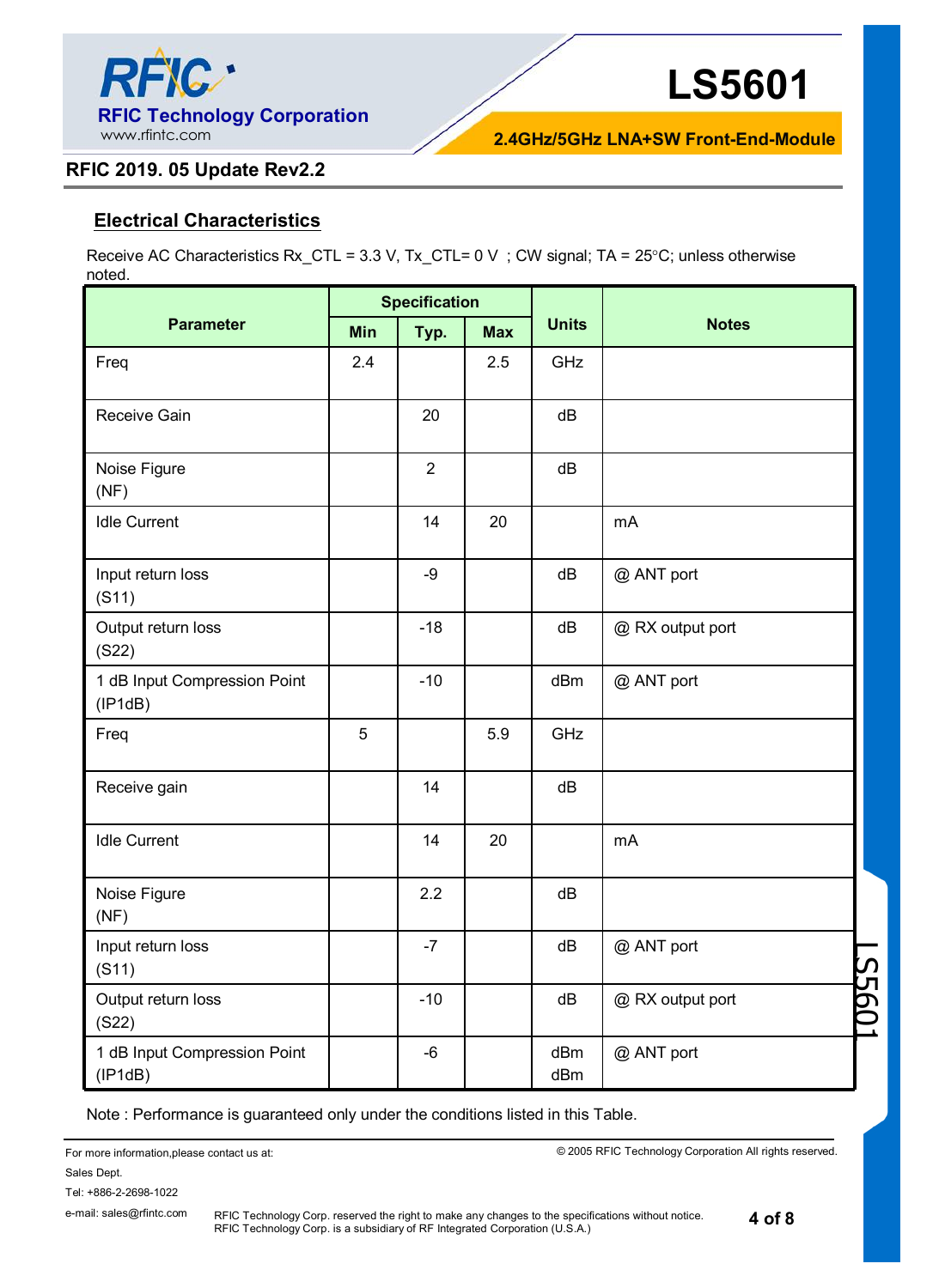

**2.4GHz/5GHz LNA+SW Front-End-Module**

#### **RFIC 2019. 05 Update Rev2.2**

#### **Electrical Characteristics**

Receive AC Characteristics Rx\_CTL = 3.3 V, Tx\_CTL=  $0 \vee$ ; CW signal; TA = 25°C; unless otherwise noted.

|                                         | <b>Specification</b> |                |            |              |                          |
|-----------------------------------------|----------------------|----------------|------------|--------------|--------------------------|
| <b>Parameter</b>                        | Min                  | Typ.           | <b>Max</b> | <b>Units</b> | <b>Notes</b>             |
| Freq                                    | 2.4                  |                | 2.5        | GHz          |                          |
| Receive Gain                            |                      | 20             |            | dB           |                          |
| Noise Figure<br>(NF)                    |                      | $\overline{2}$ |            | dB           |                          |
| <b>Idle Current</b>                     |                      | 14             | 20         |              | mA                       |
| Input return loss<br>(S11)              |                      | -9             |            | dB           | @ ANT port               |
| Output return loss<br>(S22)             |                      | $-18$          |            | dB           | @ RX output port         |
| 1 dB Input Compression Point<br>(IP1dB) |                      | $-10$          |            | dBm          | @ ANT port               |
| Freq                                    | 5                    |                | 5.9        | GHz          |                          |
| Receive gain                            |                      | 14             |            | dB           |                          |
| <b>Idle Current</b>                     |                      | 14             | 20         |              | mA                       |
| Noise Figure<br>(NF)                    |                      | 2.2            |            | dB           |                          |
| Input return loss<br>(S11)              |                      | $-7$           |            | dB           | @ ANT port               |
| Output return loss<br>(S22)             |                      | $-10$          |            | dB           | S560<br>@ RX output port |
| 1 dB Input Compression Point<br>(IP1dB) |                      | $-6$           |            | dBm<br>dBm   | @ ANT port               |

Note : Performance is guaranteed only under the conditions listed in this Table.

For more information,please contact us at: Sales Dept. Tel: +886-2-2698-1022

© 2005 RFIC Technology Corporation All rights reserved.

**4 of 8**

RFIC Technology Corp. reserved the right to make any changes to the specifications without notice. RFIC Technology Corp. is a subsidiary of RF Integrated Corporation (U.S.A.)

e-mail: sales@rfintc.com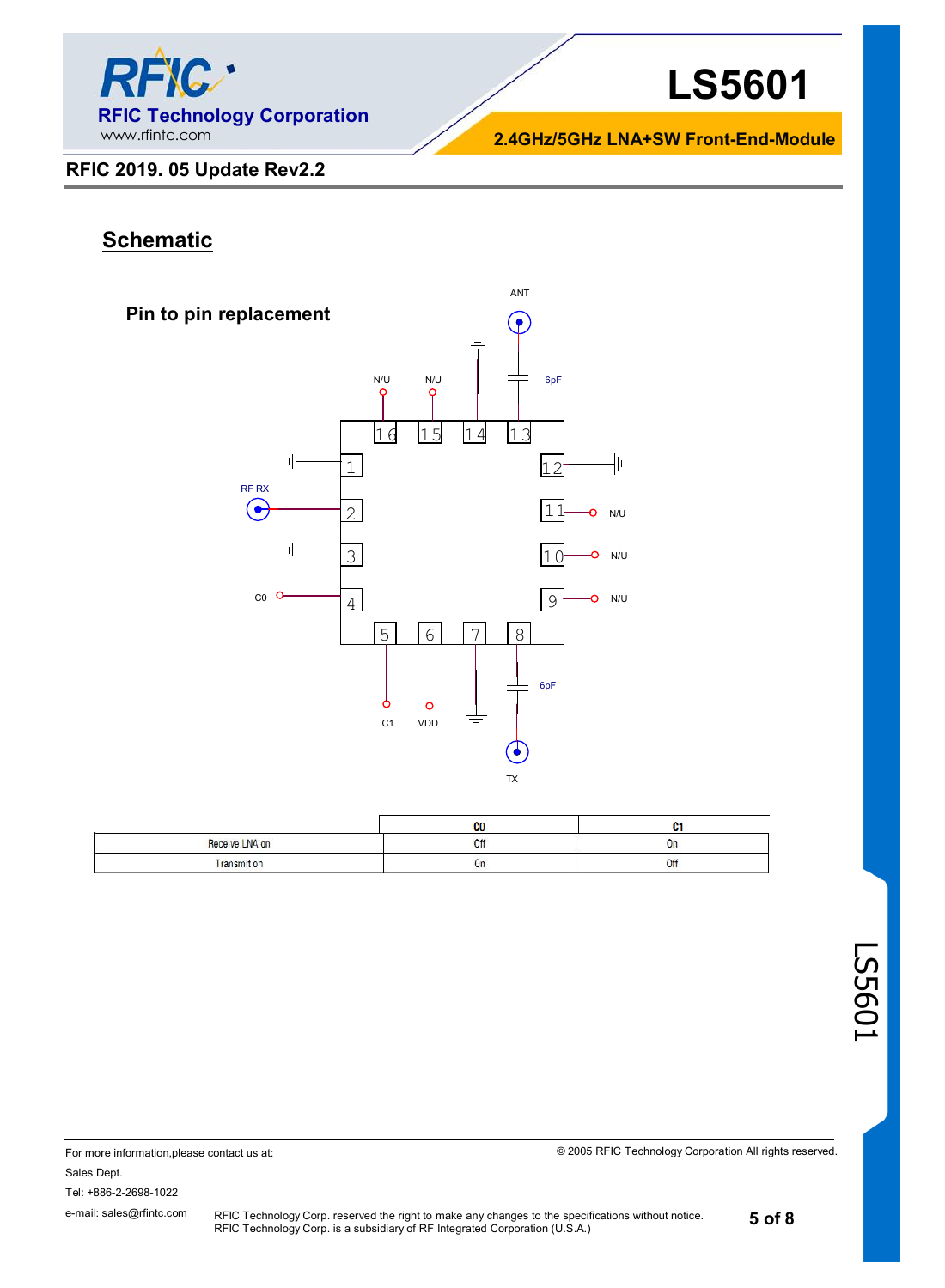

**2.4GHz/5GHz LNA+SW Front-End-Module**

#### **RFIC 2019. 05 Update Rev2.2**

# **Schematic**



|                    | CO |     |
|--------------------|----|-----|
| Receive LNA on     | ٦f | UΓ  |
| <b>Transmit on</b> | On | Off |

© 2005 RFIC Technology Corporation All rights reserved.

Sales Dept.

Tel: +886-2-2698-1022

e-mail: sales@rfintc.com

For more information,please contact us at:

RFIC Technology Corp. reserved the right to make any changes to the specifications without notice. RFIC Technology Corp. is a subsidiary of RF Integrated Corporation (U.S.A.)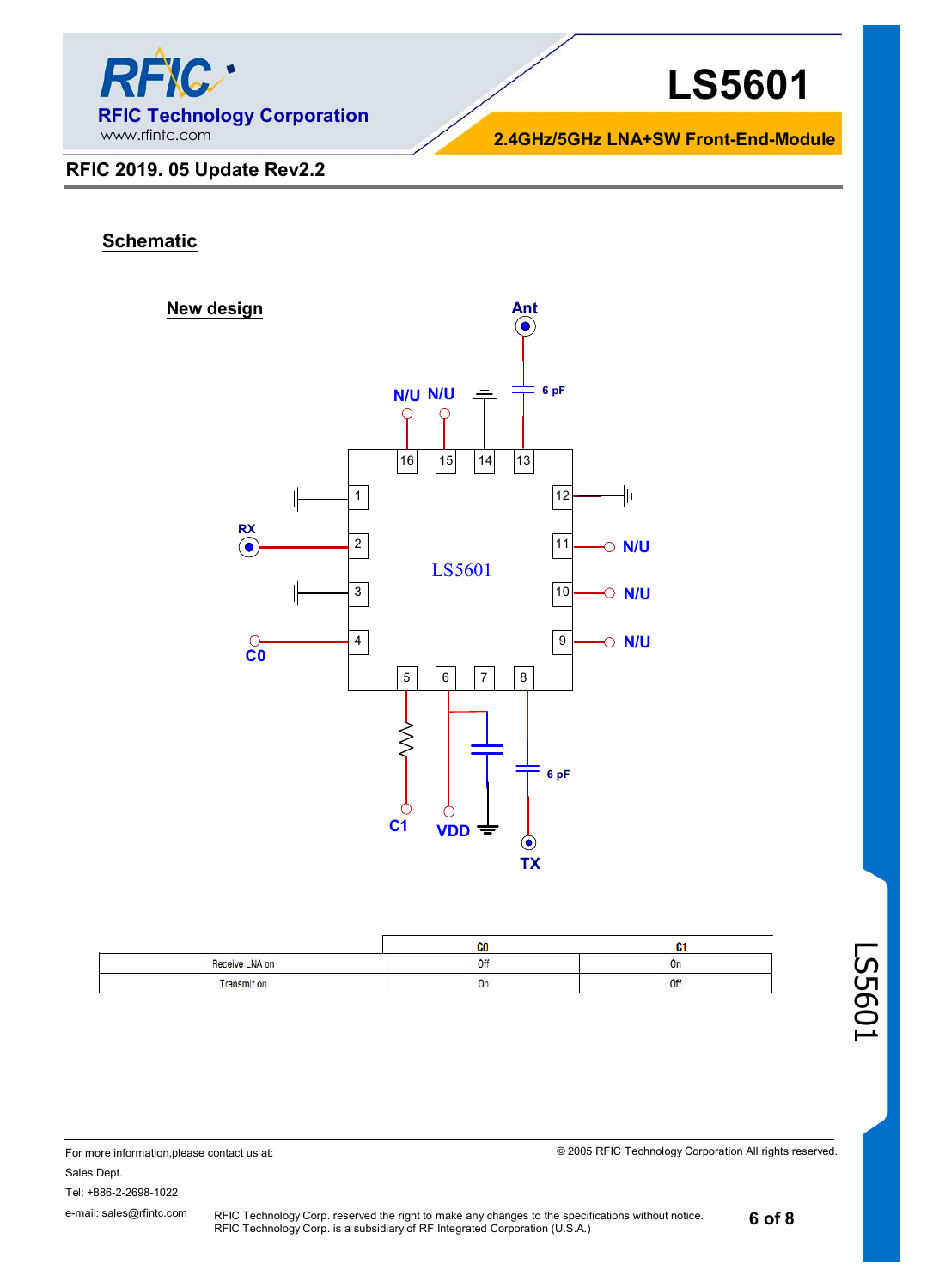

#### **2.4GHz/5GHz LNA+SW Front-End-Module**

#### **RFIC 2019. 05 Update Rev2.2**

#### **Schematic**



|                | CO  | u         |
|----------------|-----|-----------|
| Receive LNA on | Off | <u>Un</u> |
| Transmit on    | On  | Off       |

© 2005 RFIC Technology Corporation All rights reserved.

For more information,please contact us at: Sales Dept. Tel: +886-2-2698-1022 e-mail: sales@rfintc.com

RFIC Technology Corp. reserved the right to make any changes to the specifications without notice. RFIC Technology Corp. is a subsidiary of RF Integrated Corporation (U.S.A.)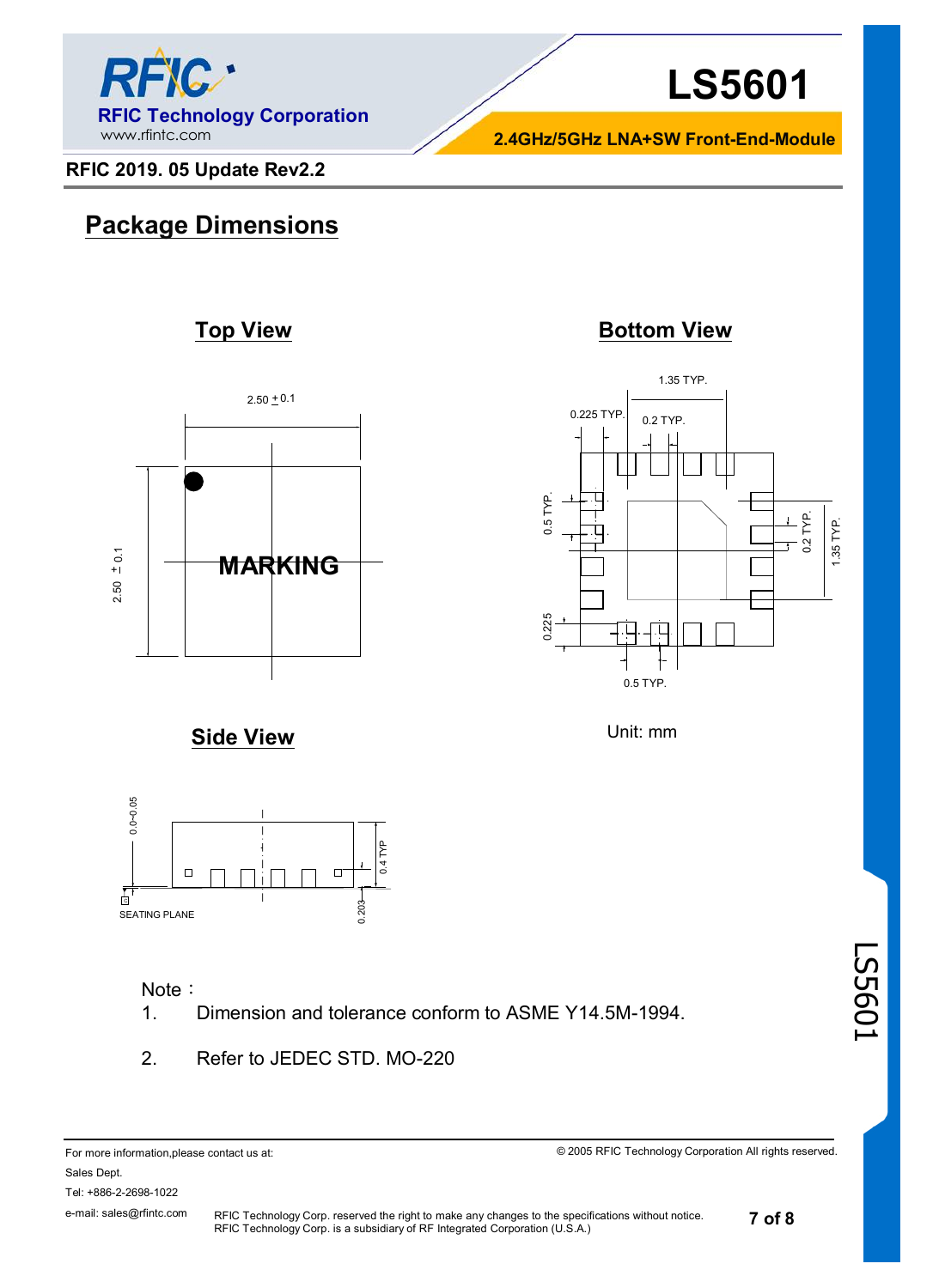

**2.4GHz/5GHz LNA+SW Front-End-Module**

1.35 TYP.

0.225 TYP.  $0.2$  TYP.

0.225 0.5 TYP.

0.225

 $0.5$ TYP.

**RFIC 2019. 05 Update Rev2.2**

# **Package Dimensions**

## **Top View <b>Bottom View**



**Side View**



#### Note:

1. Dimension and tolerance conform to ASME Y14.5M-1994.

RFIC Technology Corp. is a subsidiary of RF Integrated Corporation (U.S.A.)

2. Refer to JEDEC STD. MO-220

For more information,please contact us at: Sales Dept. Tel: +886-2-2698-1022 e-mail: sales@rfintc.com RFIC Technology Corp. reserved the right to make any changes to the specifications without notice.

© 2005 RFIC Technology Corporation All rights reserved.

Unit: mm

0.5 TYP.

LS5601

0.2 TYP. 1.35 TYP.